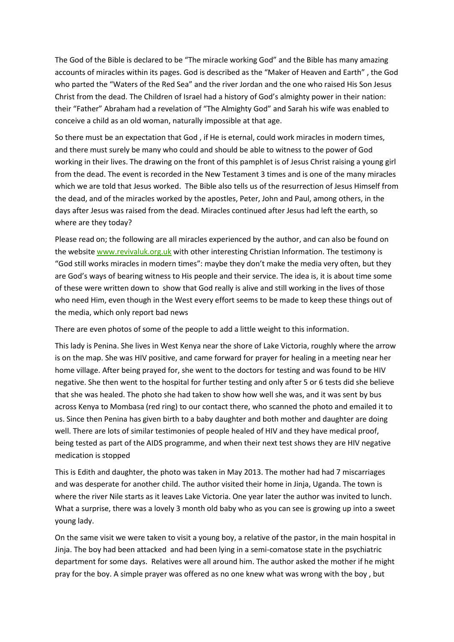The God of the Bible is declared to be "The miracle working God" and the Bible has many amazing accounts of miracles within its pages. God is described as the "Maker of Heaven and Earth" , the God who parted the "Waters of the Red Sea" and the river Jordan and the one who raised His Son Jesus Christ from the dead. The Children of Israel had a history of God's almighty power in their nation: their "Father" Abraham had a revelation of "The Almighty God" and Sarah his wife was enabled to conceive a child as an old woman, naturally impossible at that age.

So there must be an expectation that God , if He is eternal, could work miracles in modern times, and there must surely be many who could and should be able to witness to the power of God working in their lives. The drawing on the front of this pamphlet is of Jesus Christ raising a young girl from the dead. The event is recorded in the New Testament 3 times and is one of the many miracles which we are told that Jesus worked. The Bible also tells us of the resurrection of Jesus Himself from the dead, and of the miracles worked by the apostles, Peter, John and Paul, among others, in the days after Jesus was raised from the dead. Miracles continued after Jesus had left the earth, so where are they today?

Please read on; the following are all miracles experienced by the author, and can also be found on the website [www.revivaluk.org.uk](http://www.revivaluk.org.uk/) with other interesting Christian Information. The testimony is "God still works miracles in modern times": maybe they don't make the media very often, but they are God's ways of bearing witness to His people and their service. The idea is, it is about time some of these were written down to show that God really is alive and still working in the lives of those who need Him, even though in the West every effort seems to be made to keep these things out of the media, which only report bad news

There are even photos of some of the people to add a little weight to this information.

This lady is Penina. She lives in West Kenya near the shore of Lake Victoria, roughly where the arrow is on the map. She was HIV positive, and came forward for prayer for healing in a meeting near her home village. After being prayed for, she went to the doctors for testing and was found to be HIV negative. She then went to the hospital for further testing and only after 5 or 6 tests did she believe that she was healed. The photo she had taken to show how well she was, and it was sent by bus across Kenya to Mombasa (red ring) to our contact there, who scanned the photo and emailed it to us. Since then Penina has given birth to a baby daughter and both mother and daughter are doing well. There are lots of similar testimonies of people healed of HIV and they have medical proof, being tested as part of the AIDS programme, and when their next test shows they are HIV negative medication is stopped

This is Edith and daughter, the photo was taken in May 2013. The mother had had 7 miscarriages and was desperate for another child. The author visited their home in Jinja, Uganda. The town is where the river Nile starts as it leaves Lake Victoria. One year later the author was invited to lunch. What a surprise, there was a lovely 3 month old baby who as you can see is growing up into a sweet young lady.

On the same visit we were taken to visit a young boy, a relative of the pastor, in the main hospital in Jinja. The boy had been attacked and had been lying in a semi-comatose state in the psychiatric department for some days. Relatives were all around him. The author asked the mother if he might pray for the boy. A simple prayer was offered as no one knew what was wrong with the boy , but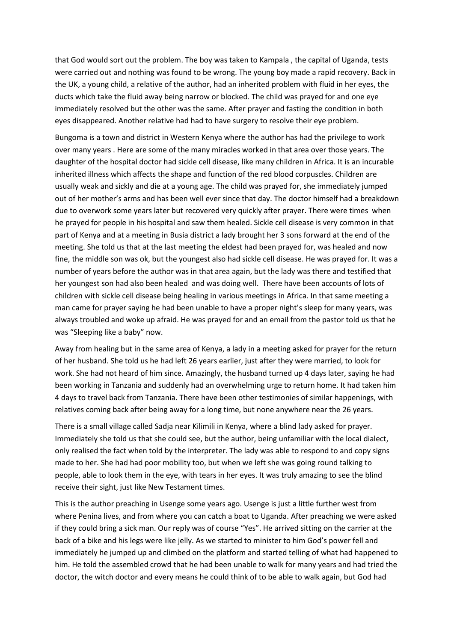that God would sort out the problem. The boy was taken to Kampala , the capital of Uganda, tests were carried out and nothing was found to be wrong. The young boy made a rapid recovery. Back in the UK, a young child, a relative of the author, had an inherited problem with fluid in her eyes, the ducts which take the fluid away being narrow or blocked. The child was prayed for and one eye immediately resolved but the other was the same. After prayer and fasting the condition in both eyes disappeared. Another relative had had to have surgery to resolve their eye problem.

Bungoma is a town and district in Western Kenya where the author has had the privilege to work over many years . Here are some of the many miracles worked in that area over those years. The daughter of the hospital doctor had sickle cell disease, like many children in Africa. It is an incurable inherited illness which affects the shape and function of the red blood corpuscles. Children are usually weak and sickly and die at a young age. The child was prayed for, she immediately jumped out of her mother's arms and has been well ever since that day. The doctor himself had a breakdown due to overwork some years later but recovered very quickly after prayer. There were times when he prayed for people in his hospital and saw them healed. Sickle cell disease is very common in that part of Kenya and at a meeting in Busia district a lady brought her 3 sons forward at the end of the meeting. She told us that at the last meeting the eldest had been prayed for, was healed and now fine, the middle son was ok, but the youngest also had sickle cell disease. He was prayed for. It was a number of years before the author was in that area again, but the lady was there and testified that her youngest son had also been healed and was doing well. There have been accounts of lots of children with sickle cell disease being healing in various meetings in Africa. In that same meeting a man came for prayer saying he had been unable to have a proper night's sleep for many years, was always troubled and woke up afraid. He was prayed for and an email from the pastor told us that he was "Sleeping like a baby" now.

Away from healing but in the same area of Kenya, a lady in a meeting asked for prayer for the return of her husband. She told us he had left 26 years earlier, just after they were married, to look for work. She had not heard of him since. Amazingly, the husband turned up 4 days later, saying he had been working in Tanzania and suddenly had an overwhelming urge to return home. It had taken him 4 days to travel back from Tanzania. There have been other testimonies of similar happenings, with relatives coming back after being away for a long time, but none anywhere near the 26 years.

There is a small village called Sadja near Kilimili in Kenya, where a blind lady asked for prayer. Immediately she told us that she could see, but the author, being unfamiliar with the local dialect, only realised the fact when told by the interpreter. The lady was able to respond to and copy signs made to her. She had had poor mobility too, but when we left she was going round talking to people, able to look them in the eye, with tears in her eyes. It was truly amazing to see the blind receive their sight, just like New Testament times.

This is the author preaching in Usenge some years ago. Usenge is just a little further west from where Penina lives, and from where you can catch a boat to Uganda. After preaching we were asked if they could bring a sick man. Our reply was of course "Yes". He arrived sitting on the carrier at the back of a bike and his legs were like jelly. As we started to minister to him God's power fell and immediately he jumped up and climbed on the platform and started telling of what had happened to him. He told the assembled crowd that he had been unable to walk for many years and had tried the doctor, the witch doctor and every means he could think of to be able to walk again, but God had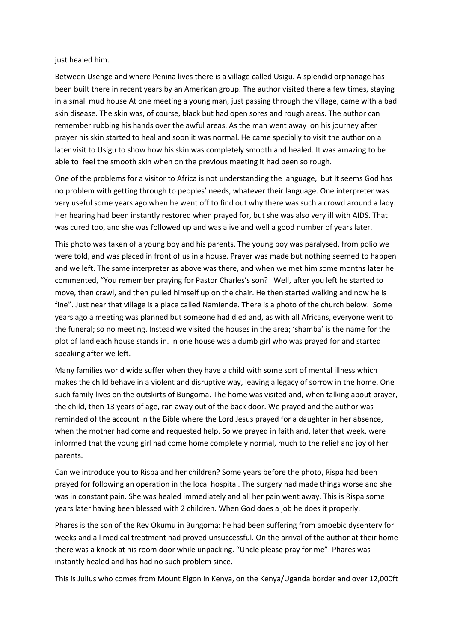just healed him.

Between Usenge and where Penina lives there is a village called Usigu. A splendid orphanage has been built there in recent years by an American group. The author visited there a few times, staying in a small mud house At one meeting a young man, just passing through the village, came with a bad skin disease. The skin was, of course, black but had open sores and rough areas. The author can remember rubbing his hands over the awful areas. As the man went away on his journey after prayer his skin started to heal and soon it was normal. He came specially to visit the author on a later visit to Usigu to show how his skin was completely smooth and healed. It was amazing to be able to feel the smooth skin when on the previous meeting it had been so rough.

One of the problems for a visitor to Africa is not understanding the language, but It seems God has no problem with getting through to peoples' needs, whatever their language. One interpreter was very useful some years ago when he went off to find out why there was such a crowd around a lady. Her hearing had been instantly restored when prayed for, but she was also very ill with AIDS. That was cured too, and she was followed up and was alive and well a good number of years later.

This photo was taken of a young boy and his parents. The young boy was paralysed, from polio we were told, and was placed in front of us in a house. Prayer was made but nothing seemed to happen and we left. The same interpreter as above was there, and when we met him some months later he commented, "You remember praying for Pastor Charles's son? Well, after you left he started to move, then crawl, and then pulled himself up on the chair. He then started walking and now he is fine". Just near that village is a place called Namiende. There is a photo of the church below. Some years ago a meeting was planned but someone had died and, as with all Africans, everyone went to the funeral; so no meeting. Instead we visited the houses in the area; 'shamba' is the name for the plot of land each house stands in. In one house was a dumb girl who was prayed for and started speaking after we left.

Many families world wide suffer when they have a child with some sort of mental illness which makes the child behave in a violent and disruptive way, leaving a legacy of sorrow in the home. One such family lives on the outskirts of Bungoma. The home was visited and, when talking about prayer, the child, then 13 years of age, ran away out of the back door. We prayed and the author was reminded of the account in the Bible where the Lord Jesus prayed for a daughter in her absence, when the mother had come and requested help. So we prayed in faith and, later that week, were informed that the young girl had come home completely normal, much to the relief and joy of her parents.

Can we introduce you to Rispa and her children? Some years before the photo, Rispa had been prayed for following an operation in the local hospital. The surgery had made things worse and she was in constant pain. She was healed immediately and all her pain went away. This is Rispa some years later having been blessed with 2 children. When God does a job he does it properly.

Phares is the son of the Rev Okumu in Bungoma: he had been suffering from amoebic dysentery for weeks and all medical treatment had proved unsuccessful. On the arrival of the author at their home there was a knock at his room door while unpacking. "Uncle please pray for me". Phares was instantly healed and has had no such problem since.

This is Julius who comes from Mount Elgon in Kenya, on the Kenya/Uganda border and over 12,000ft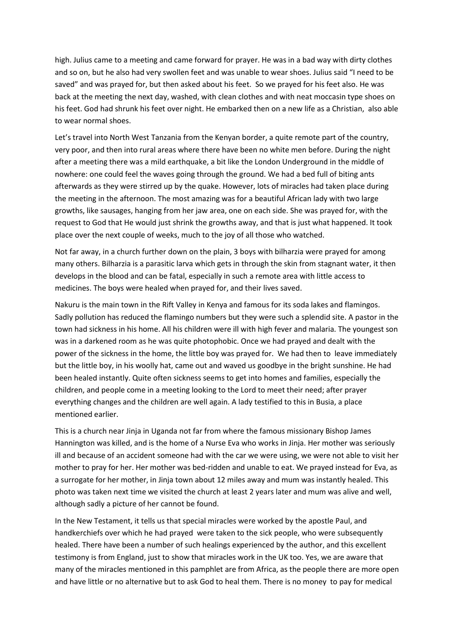high. Julius came to a meeting and came forward for prayer. He was in a bad way with dirty clothes and so on, but he also had very swollen feet and was unable to wear shoes. Julius said "I need to be saved" and was prayed for, but then asked about his feet. So we prayed for his feet also. He was back at the meeting the next day, washed, with clean clothes and with neat moccasin type shoes on his feet. God had shrunk his feet over night. He embarked then on a new life as a Christian, also able to wear normal shoes.

Let's travel into North West Tanzania from the Kenyan border, a quite remote part of the country, very poor, and then into rural areas where there have been no white men before. During the night after a meeting there was a mild earthquake, a bit like the London Underground in the middle of nowhere: one could feel the waves going through the ground. We had a bed full of biting ants afterwards as they were stirred up by the quake. However, lots of miracles had taken place during the meeting in the afternoon. The most amazing was for a beautiful African lady with two large growths, like sausages, hanging from her jaw area, one on each side. She was prayed for, with the request to God that He would just shrink the growths away, and that is just what happened. It took place over the next couple of weeks, much to the joy of all those who watched.

Not far away, in a church further down on the plain, 3 boys with bilharzia were prayed for among many others. Bilharzia is a parasitic larva which gets in through the skin from stagnant water, it then develops in the blood and can be fatal, especially in such a remote area with little access to medicines. The boys were healed when prayed for, and their lives saved.

Nakuru is the main town in the Rift Valley in Kenya and famous for its soda lakes and flamingos. Sadly pollution has reduced the flamingo numbers but they were such a splendid site. A pastor in the town had sickness in his home. All his children were ill with high fever and malaria. The youngest son was in a darkened room as he was quite photophobic. Once we had prayed and dealt with the power of the sickness in the home, the little boy was prayed for. We had then to leave immediately but the little boy, in his woolly hat, came out and waved us goodbye in the bright sunshine. He had been healed instantly. Quite often sickness seems to get into homes and families, especially the children, and people come in a meeting looking to the Lord to meet their need; after prayer everything changes and the children are well again. A lady testified to this in Busia, a place mentioned earlier.

This is a church near Jinja in Uganda not far from where the famous missionary Bishop James Hannington was killed, and is the home of a Nurse Eva who works in Jinja. Her mother was seriously ill and because of an accident someone had with the car we were using, we were not able to visit her mother to pray for her. Her mother was bed-ridden and unable to eat. We prayed instead for Eva, as a surrogate for her mother, in Jinja town about 12 miles away and mum was instantly healed. This photo was taken next time we visited the church at least 2 years later and mum was alive and well, although sadly a picture of her cannot be found.

In the New Testament, it tells us that special miracles were worked by the apostle Paul, and handkerchiefs over which he had prayed were taken to the sick people, who were subsequently healed. There have been a number of such healings experienced by the author, and this excellent testimony is from England, just to show that miracles work in the UK too. Yes, we are aware that many of the miracles mentioned in this pamphlet are from Africa, as the people there are more open and have little or no alternative but to ask God to heal them. There is no money to pay for medical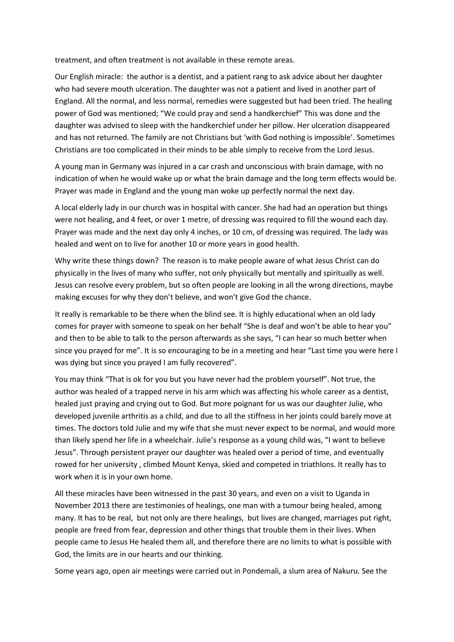treatment, and often treatment is not available in these remote areas.

Our English miracle: the author is a dentist, and a patient rang to ask advice about her daughter who had severe mouth ulceration. The daughter was not a patient and lived in another part of England. All the normal, and less normal, remedies were suggested but had been tried. The healing power of God was mentioned; "We could pray and send a handkerchief" This was done and the daughter was advised to sleep with the handkerchief under her pillow. Her ulceration disappeared and has not returned. The family are not Christians but 'with God nothing is impossible'. Sometimes Christians are too complicated in their minds to be able simply to receive from the Lord Jesus.

A young man in Germany was injured in a car crash and unconscious with brain damage, with no indication of when he would wake up or what the brain damage and the long term effects would be. Prayer was made in England and the young man woke up perfectly normal the next day.

A local elderly lady in our church was in hospital with cancer. She had had an operation but things were not healing, and 4 feet, or over 1 metre, of dressing was required to fill the wound each day. Prayer was made and the next day only 4 inches, or 10 cm, of dressing was required. The lady was healed and went on to live for another 10 or more years in good health.

Why write these things down? The reason is to make people aware of what Jesus Christ can do physically in the lives of many who suffer, not only physically but mentally and spiritually as well. Jesus can resolve every problem, but so often people are looking in all the wrong directions, maybe making excuses for why they don't believe, and won't give God the chance.

It really is remarkable to be there when the blind see. It is highly educational when an old lady comes for prayer with someone to speak on her behalf "She is deaf and won't be able to hear you" and then to be able to talk to the person afterwards as she says, "I can hear so much better when since you prayed for me". It is so encouraging to be in a meeting and hear "Last time you were here I was dying but since you prayed I am fully recovered".

You may think "That is ok for you but you have never had the problem yourself". Not true, the author was healed of a trapped nerve in his arm which was affecting his whole career as a dentist, healed just praying and crying out to God. But more poignant for us was our daughter Julie, who developed juvenile arthritis as a child, and due to all the stiffness in her joints could barely move at times. The doctors told Julie and my wife that she must never expect to be normal, and would more than likely spend her life in a wheelchair. Julie's response as a young child was, "I want to believe Jesus". Through persistent prayer our daughter was healed over a period of time, and eventually rowed for her university , climbed Mount Kenya, skied and competed in triathlons. It really has to work when it is in your own home.

All these miracles have been witnessed in the past 30 years, and even on a visit to Uganda in November 2013 there are testimonies of healings, one man with a tumour being healed, among many. It has to be real, but not only are there healings, but lives are changed, marriages put right, people are freed from fear, depression and other things that trouble them in their lives. When people came to Jesus He healed them all, and therefore there are no limits to what is possible with God, the limits are in our hearts and our thinking.

Some years ago, open air meetings were carried out in Pondemali, a slum area of Nakuru. See the